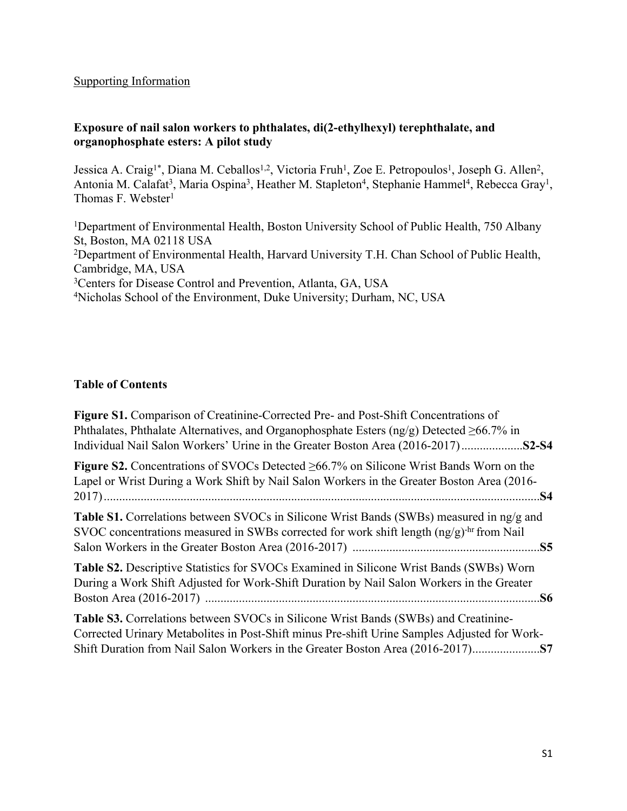## Supporting Information

## **Exposure of nail salon workers to phthalates, di(2-ethylhexyl) terephthalate, and organophosphate esters: A pilot study**

Jessica A. Craig<sup>1\*</sup>, Diana M. Ceballos<sup>1,2</sup>, Victoria Fruh<sup>1</sup>, Zoe E. Petropoulos<sup>1</sup>, Joseph G. Allen<sup>2</sup>, Antonia M. Calafat<sup>3</sup>, Maria Ospina<sup>3</sup>, Heather M. Stapleton<sup>4</sup>, Stephanie Hammel<sup>4</sup>, Rebecca Gray<sup>1</sup>, Thomas F. Webster<sup>1</sup>

Department of Environmental Health, Boston University School of Public Health, 750 Albany St, Boston, MA 02118 USA Department of Environmental Health, Harvard University T.H. Chan School of Public Health, Cambridge, MA, USA Centers for Disease Control and Prevention, Atlanta, GA, USA Nicholas School of the Environment, Duke University; Durham, NC, USA

## **Table of Contents**

| <b>Figure S1.</b> Comparison of Creatinine-Corrected Pre- and Post-Shift Concentrations of<br>Phthalates, Phthalate Alternatives, and Organophosphate Esters (ng/g) Detected $\geq 66.7\%$ in                                                                               |
|-----------------------------------------------------------------------------------------------------------------------------------------------------------------------------------------------------------------------------------------------------------------------------|
| <b>Figure S2.</b> Concentrations of SVOCs Detected $\geq 66.7\%$ on Silicone Wrist Bands Worn on the<br>Lapel or Wrist During a Work Shift by Nail Salon Workers in the Greater Boston Area (2016-                                                                          |
| <b>Table S1.</b> Correlations between SVOCs in Silicone Wrist Bands (SWBs) measured in $ngh$ and<br>SVOC concentrations measured in SWBs corrected for work shift length $(ng/g)^{-hr}$ from Nail                                                                           |
| Table S2. Descriptive Statistics for SVOCs Examined in Silicone Wrist Bands (SWBs) Worn<br>During a Work Shift Adjusted for Work-Shift Duration by Nail Salon Workers in the Greater                                                                                        |
| <b>Table S3.</b> Correlations between SVOCs in Silicone Wrist Bands (SWBs) and Creatinine-<br>Corrected Urinary Metabolites in Post-Shift minus Pre-shift Urine Samples Adjusted for Work-<br>Shift Duration from Nail Salon Workers in the Greater Boston Area (2016-2017) |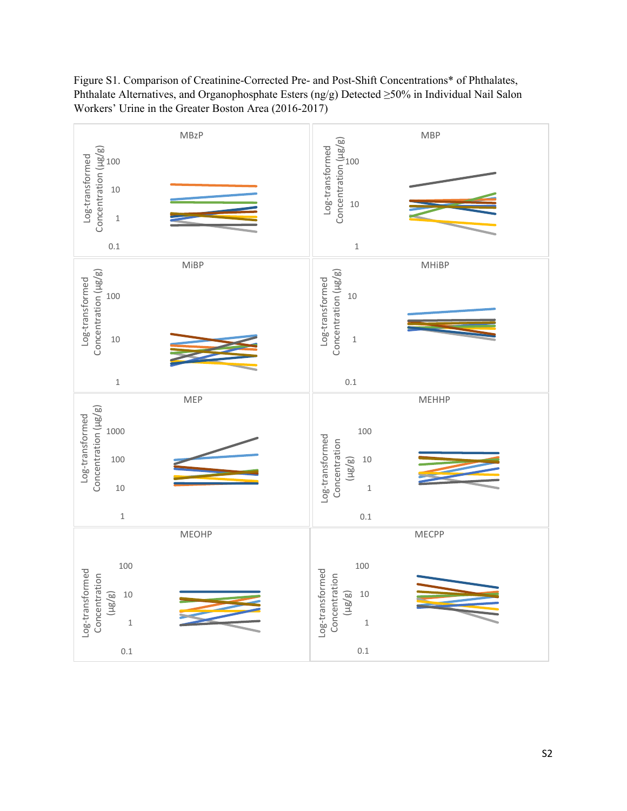

Figure S1. Comparison of Creatinine-Corrected Pre- and Post-Shift Concentrations\* of Phthalates, Phthalate Alternatives, and Organophosphate Esters (ng/g) Detected ≥50% in Individual Nail Salon Workers' Urine in the Greater Boston Area (2016-2017)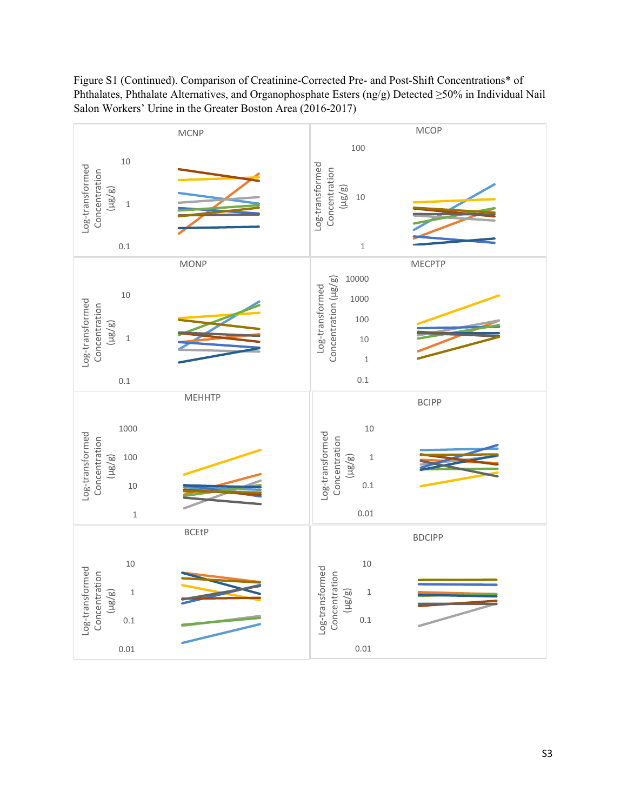

Figure S1 (Continued). Comparison of Creatinine-Corrected Pre- and Post-Shift Concentrations\* of Phthalates, Phthalate Alternatives, and Organophosphate Esters (ng/g) Detected ≥50% in Individual Nail Salon Workers' Urine in the Greater Boston Area (2016-2017)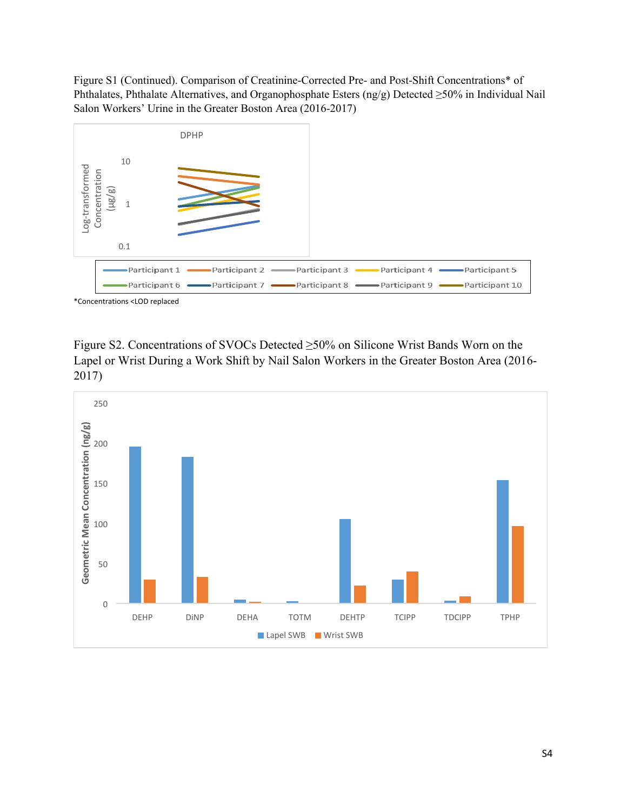Figure S1 (Continued). Comparison of Creatinine-Corrected Pre- and Post-Shift Concentrations\* of Phthalates, Phthalate Alternatives, and Organophosphate Esters (ng/g) Detected ≥50% in Individual Nail Salon Workers' Urine in the Greater Boston Area (2016-2017)



\*Concentrations <LOD replaced

Figure S2. Concentrations of SVOCs Detected ≥50% on Silicone Wrist Bands Worn on the Lapel or Wrist During a Work Shift by Nail Salon Workers in the Greater Boston Area (2016- 2017)

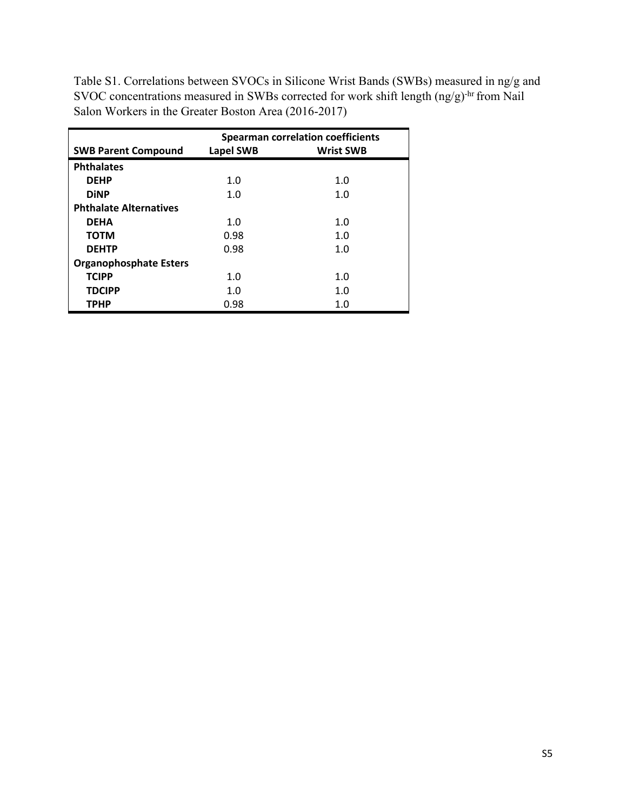|                               | <b>Spearman correlation coefficients</b> |                  |  |  |  |  |  |
|-------------------------------|------------------------------------------|------------------|--|--|--|--|--|
| <b>SWB Parent Compound</b>    | <b>Lapel SWB</b>                         | <b>Wrist SWB</b> |  |  |  |  |  |
| <b>Phthalates</b>             |                                          |                  |  |  |  |  |  |
| <b>DEHP</b>                   | 1.0                                      | 1.0              |  |  |  |  |  |
| <b>DiNP</b>                   | 1.0                                      | 1.0              |  |  |  |  |  |
| <b>Phthalate Alternatives</b> |                                          |                  |  |  |  |  |  |
| <b>DEHA</b>                   | 1.0                                      | 1.0              |  |  |  |  |  |
| <b>TOTM</b>                   | 0.98                                     | 1.0              |  |  |  |  |  |
| <b>DEHTP</b>                  | 0.98                                     | 1.0              |  |  |  |  |  |
| <b>Organophosphate Esters</b> |                                          |                  |  |  |  |  |  |
| <b>TCIPP</b>                  | 1.0                                      | 1.0              |  |  |  |  |  |
| <b>TDCIPP</b>                 | 1.0                                      | 1.0              |  |  |  |  |  |
| <b>TPHP</b>                   | 0.98                                     | 1.0              |  |  |  |  |  |

Table S1. Correlations between SVOCs in Silicone Wrist Bands (SWBs) measured in ng/g and SVOC concentrations measured in SWBs corrected for work shift length (ng/g)<sup>-hr</sup> from Nail Salon Workers in the Greater Boston Area (2016-2017)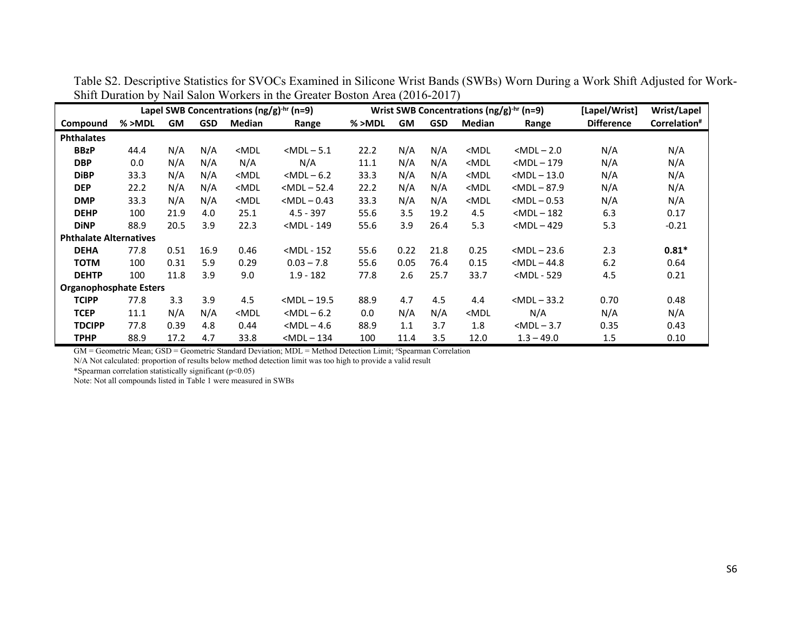|                               |        |           |            | Lapel SWB Concentrations $(ng/g)^{-hr}$ (n=9)                                                                                                                                                                |                                                                                                                                                                          |         |           |            | Wrist SWB Concentrations $(ng/g)^{-hr}$ (n=9)                                              |                                                         | [Lapel/Wrist]     | Wrist/Lapel              |
|-------------------------------|--------|-----------|------------|--------------------------------------------------------------------------------------------------------------------------------------------------------------------------------------------------------------|--------------------------------------------------------------------------------------------------------------------------------------------------------------------------|---------|-----------|------------|--------------------------------------------------------------------------------------------|---------------------------------------------------------|-------------------|--------------------------|
| Compound                      | % >MDL | <b>GM</b> | <b>GSD</b> | <b>Median</b>                                                                                                                                                                                                | Range                                                                                                                                                                    | % > MDL | <b>GM</b> | <b>GSD</b> | <b>Median</b>                                                                              | Range                                                   | <b>Difference</b> | Correlation <sup>#</sup> |
| <b>Phthalates</b>             |        |           |            |                                                                                                                                                                                                              |                                                                                                                                                                          |         |           |            |                                                                                            |                                                         |                   |                          |
| <b>BBzP</b>                   | 44.4   | N/A       | N/A        | <mdl< th=""><th><math>&lt;</math>MDL<math>-5.1</math></th><th>22.2</th><th>N/A</th><th>N/A</th><th><mdl< th=""><th><math>&lt;</math>MDL<math>-2.0</math></th><th>N/A</th><th>N/A</th></mdl<></th></mdl<>     | $<$ MDL $-5.1$                                                                                                                                                           | 22.2    | N/A       | N/A        | <mdl< th=""><th><math>&lt;</math>MDL<math>-2.0</math></th><th>N/A</th><th>N/A</th></mdl<>  | $<$ MDL $-2.0$                                          | N/A               | N/A                      |
| <b>DBP</b>                    | 0.0    | N/A       | N/A        | N/A                                                                                                                                                                                                          | N/A                                                                                                                                                                      | 11.1    | N/A       | N/A        | <mdl< th=""><th><math>&lt;</math>MDL<math>-179</math></th><th>N/A</th><th>N/A</th></mdl<>  | $<$ MDL $-179$                                          | N/A               | N/A                      |
| <b>DiBP</b>                   | 33.3   | N/A       | N/A        | <mdl< th=""><th><math>&lt;</math>MDL<math>-6.2</math></th><th>33.3</th><th>N/A</th><th>N/A</th><th><mdl< th=""><th><math>&lt;</math>MDL<math>-13.0</math></th><th>N/A</th><th>N/A</th></mdl<></th></mdl<>    | $<$ MDL $-6.2$                                                                                                                                                           | 33.3    | N/A       | N/A        | <mdl< th=""><th><math>&lt;</math>MDL<math>-13.0</math></th><th>N/A</th><th>N/A</th></mdl<> | $<$ MDL $-13.0$                                         | N/A               | N/A                      |
| <b>DEP</b>                    | 22.2   | N/A       | N/A        | <mdl< th=""><th><math>&lt;</math>MDL <math>-</math> 52.4</th><th>22.2</th><th>N/A</th><th>N/A</th><th><mdl< th=""><th><math>&lt;</math>MDL<math>-87.9</math></th><th>N/A</th><th>N/A</th></mdl<></th></mdl<> | $<$ MDL $-$ 52.4                                                                                                                                                         | 22.2    | N/A       | N/A        | <mdl< th=""><th><math>&lt;</math>MDL<math>-87.9</math></th><th>N/A</th><th>N/A</th></mdl<> | $<$ MDL $-87.9$                                         | N/A               | N/A                      |
| <b>DMP</b>                    | 33.3   | N/A       | N/A        | <mdl< th=""><th><math>&lt;</math>MDL<math>-0.43</math></th><th>33.3</th><th>N/A</th><th>N/A</th><th><mdl< th=""><th><math>&lt;</math>MDL<math>-0.53</math></th><th>N/A</th><th>N/A</th></mdl<></th></mdl<>   | $<$ MDL $-0.43$                                                                                                                                                          | 33.3    | N/A       | N/A        | <mdl< th=""><th><math>&lt;</math>MDL<math>-0.53</math></th><th>N/A</th><th>N/A</th></mdl<> | $<$ MDL $-0.53$                                         | N/A               | N/A                      |
| <b>DEHP</b>                   | 100    | 21.9      | 4.0        | 25.1                                                                                                                                                                                                         | $4.5 - 397$                                                                                                                                                              | 55.6    | 3.5       | 19.2       | 4.5                                                                                        | $<$ MDL $-182$                                          | 6.3               | 0.17                     |
| <b>DiNP</b>                   | 88.9   | 20.5      | 3.9        | 22.3                                                                                                                                                                                                         | <mdl -="" 149<="" th=""><th>55.6</th><th>3.9</th><th>26.4</th><th>5.3</th><th><math>&lt;</math>MDL<math>-429</math></th><th>5.3</th><th><math>-0.21</math></th></mdl>    | 55.6    | 3.9       | 26.4       | 5.3                                                                                        | $<$ MDL $-429$                                          | 5.3               | $-0.21$                  |
| <b>Phthalate Alternatives</b> |        |           |            |                                                                                                                                                                                                              |                                                                                                                                                                          |         |           |            |                                                                                            |                                                         |                   |                          |
| <b>DEHA</b>                   | 77.8   | 0.51      | 16.9       | 0.46                                                                                                                                                                                                         | <mdl -="" 152<="" th=""><th>55.6</th><th>0.22</th><th>21.8</th><th>0.25</th><th><math>&lt;</math>MDL<math>-23.6</math></th><th>2.3</th><th><math>0.81*</math></th></mdl> | 55.6    | 0.22      | 21.8       | 0.25                                                                                       | $<$ MDL $-23.6$                                         | 2.3               | $0.81*$                  |
| <b>TOTM</b>                   | 100    | 0.31      | 5.9        | 0.29                                                                                                                                                                                                         | $0.03 - 7.8$                                                                                                                                                             | 55.6    | 0.05      | 76.4       | 0.15                                                                                       | $<$ MDL $-$ 44.8                                        | 6.2               | 0.64                     |
| <b>DEHTP</b>                  | 100    | 11.8      | 3.9        | 9.0                                                                                                                                                                                                          | $1.9 - 182$                                                                                                                                                              | 77.8    | 2.6       | 25.7       | 33.7                                                                                       | <mdl -="" 529<="" th=""><th>4.5</th><th>0.21</th></mdl> | 4.5               | 0.21                     |
| <b>Organophosphate Esters</b> |        |           |            |                                                                                                                                                                                                              |                                                                                                                                                                          |         |           |            |                                                                                            |                                                         |                   |                          |
| <b>TCIPP</b>                  | 77.8   | 3.3       | 3.9        | 4.5                                                                                                                                                                                                          | $<$ MDL $-19.5$                                                                                                                                                          | 88.9    | 4.7       | 4.5        | 4.4                                                                                        | $<$ MDL $-33.2$                                         | 0.70              | 0.48                     |
| <b>TCEP</b>                   | 11.1   | N/A       | N/A        | <mdl< th=""><th><math>&lt;</math>MDL<math>-6.2</math></th><th>0.0</th><th>N/A</th><th>N/A</th><th><mdl< th=""><th>N/A</th><th>N/A</th><th>N/A</th></mdl<></th></mdl<>                                        | $<$ MDL $-6.2$                                                                                                                                                           | 0.0     | N/A       | N/A        | <mdl< th=""><th>N/A</th><th>N/A</th><th>N/A</th></mdl<>                                    | N/A                                                     | N/A               | N/A                      |
| <b>TDCIPP</b>                 | 77.8   | 0.39      | 4.8        | 0.44                                                                                                                                                                                                         | $<$ MDL $-4.6$                                                                                                                                                           | 88.9    | 1.1       | 3.7        | 1.8                                                                                        | $<$ MDL $-3.7$                                          | 0.35              | 0.43                     |
| TPHP                          | 88.9   | 17.2      | 4.7        | 33.8                                                                                                                                                                                                         | $<$ MDL $-134$                                                                                                                                                           | 100     | 11.4      | 3.5        | 12.0                                                                                       | $1.3 - 49.0$                                            | 1.5               | 0.10                     |

Table S2. Descriptive Statistics for SVOCs Examined in Silicone Wrist Bands (SWBs) Worn During a Work Shift Adjusted for Work-Shift Duration by Nail Salon Workers in the Greater Boston Area (2016-2017)

GM = Geometric Mean; GSD = Geometric Standard Deviation; MDL = Method Detection Limit; #Spearman Correlation

N/A Not calculated: proportion of results below method detection limit was too high to provide a valid result

\*Spearman correlation statistically significant (p<0.05)

Note: Not all compounds listed in Table 1 were measured in SWBs